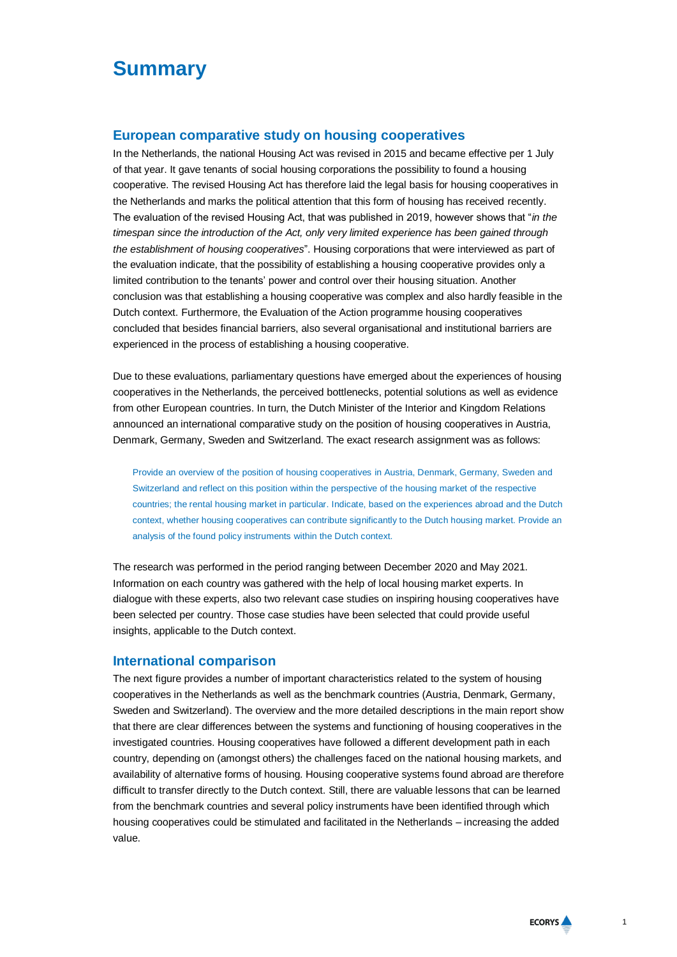# **Summary**

## **European comparative study on housing cooperatives**

In the Netherlands, the national Housing Act was revised in 2015 and became effective per 1 July of that year. It gave tenants of social housing corporations the possibility to found a housing cooperative. The revised Housing Act has therefore laid the legal basis for housing cooperatives in the Netherlands and marks the political attention that this form of housing has received recently. The evaluation of the revised Housing Act, that was published in 2019, however shows that "*in the timespan since the introduction of the Act, only very limited experience has been gained through the establishment of housing cooperatives*". Housing corporations that were interviewed as part of the evaluation indicate, that the possibility of establishing a housing cooperative provides only a limited contribution to the tenants' power and control over their housing situation. Another conclusion was that establishing a housing cooperative was complex and also hardly feasible in the Dutch context. Furthermore, the Evaluation of the Action programme housing cooperatives concluded that besides financial barriers, also several organisational and institutional barriers are experienced in the process of establishing a housing cooperative.

Due to these evaluations, parliamentary questions have emerged about the experiences of housing cooperatives in the Netherlands, the perceived bottlenecks, potential solutions as well as evidence from other European countries. In turn, the Dutch Minister of the Interior and Kingdom Relations announced an international comparative study on the position of housing cooperatives in Austria, Denmark, Germany, Sweden and Switzerland. The exact research assignment was as follows:

Provide an overview of the position of housing cooperatives in Austria, Denmark, Germany, Sweden and Switzerland and reflect on this position within the perspective of the housing market of the respective countries; the rental housing market in particular. Indicate, based on the experiences abroad and the Dutch context, whether housing cooperatives can contribute significantly to the Dutch housing market. Provide an analysis of the found policy instruments within the Dutch context.

The research was performed in the period ranging between December 2020 and May 2021. Information on each country was gathered with the help of local housing market experts. In dialogue with these experts, also two relevant case studies on inspiring housing cooperatives have been selected per country. Those case studies have been selected that could provide useful insights, applicable to the Dutch context.

## **International comparison**

The next figure provides a number of important characteristics related to the system of housing cooperatives in the Netherlands as well as the benchmark countries (Austria, Denmark, Germany, Sweden and Switzerland). The overview and the more detailed descriptions in the main report show that there are clear differences between the systems and functioning of housing cooperatives in the investigated countries. Housing cooperatives have followed a different development path in each country, depending on (amongst others) the challenges faced on the national housing markets, and availability of alternative forms of housing. Housing cooperative systems found abroad are therefore difficult to transfer directly to the Dutch context. Still, there are valuable lessons that can be learned from the benchmark countries and several policy instruments have been identified through which housing cooperatives could be stimulated and facilitated in the Netherlands – increasing the added value.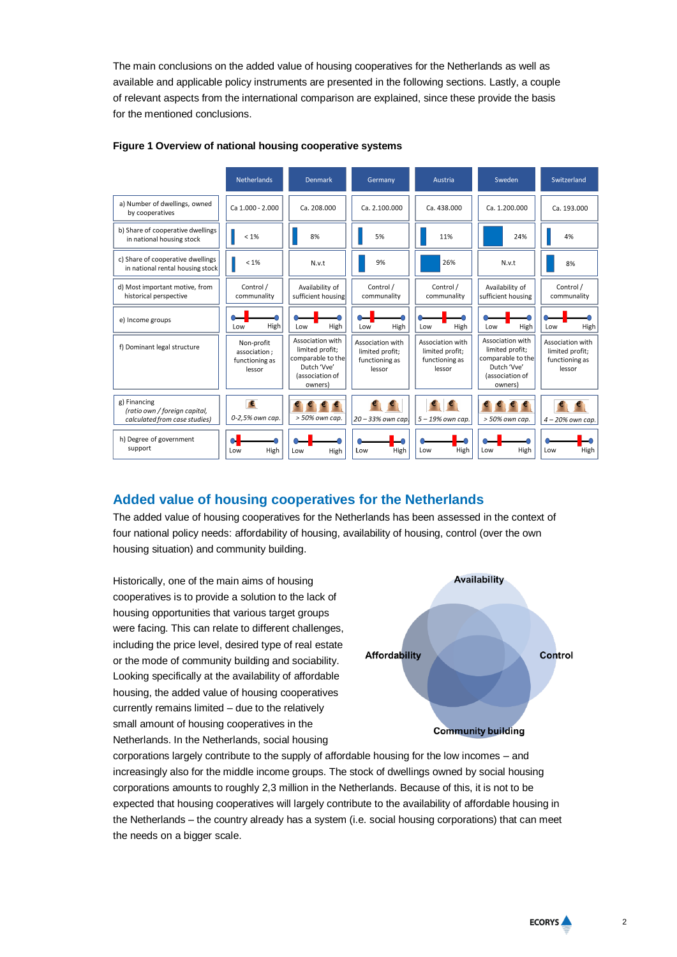The main conclusions on the added value of housing cooperatives for the Netherlands as well as available and applicable policy instruments are presented in the following sections. Lastly, a couple of relevant aspects from the international comparison are explained, since these provide the basis for the mentioned conclusions.



### **Figure 1 Overview of national housing cooperative systems**

## **Added value of housing cooperatives for the Netherlands**

The added value of housing cooperatives for the Netherlands has been assessed in the context of four national policy needs: affordability of housing, availability of housing, control (over the own housing situation) and community building.

Historically, one of the main aims of housing cooperatives is to provide a solution to the lack of housing opportunities that various target groups were facing. This can relate to different challenges, including the price level, desired type of real estate or the mode of community building and sociability. Looking specifically at the availability of affordable housing, the added value of housing cooperatives currently remains limited – due to the relatively small amount of housing cooperatives in the Netherlands. In the Netherlands, social housing



corporations largely contribute to the supply of affordable housing for the low incomes – and increasingly also for the middle income groups. The stock of dwellings owned by social housing corporations amounts to roughly 2,3 million in the Netherlands. Because of this, it is not to be expected that housing cooperatives will largely contribute to the availability of affordable housing in the Netherlands – the country already has a system (i.e. social housing corporations) that can meet the needs on a bigger scale.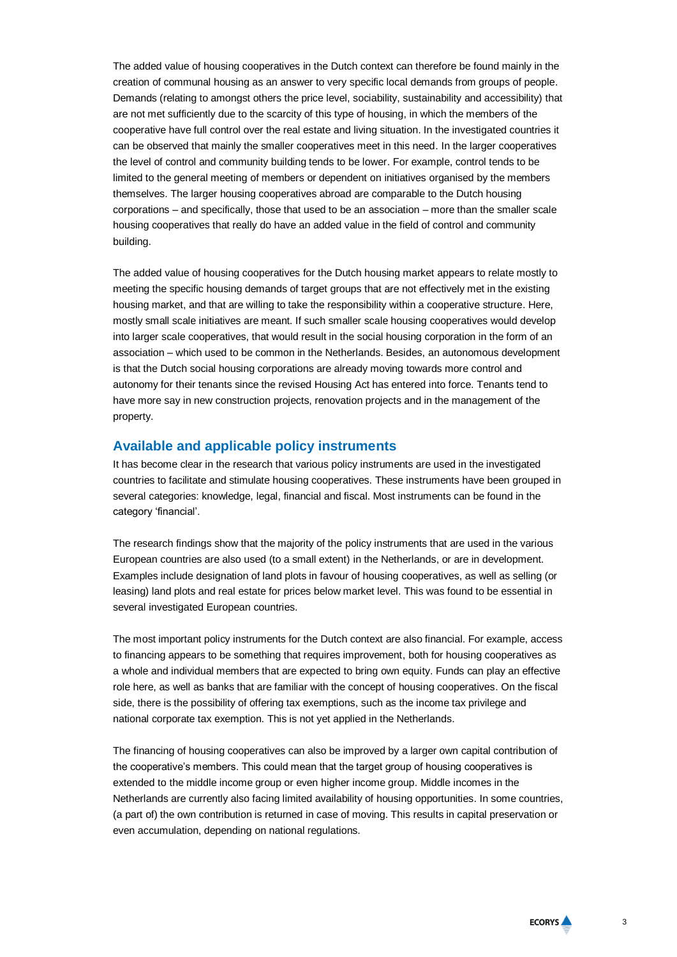The added value of housing cooperatives in the Dutch context can therefore be found mainly in the creation of communal housing as an answer to very specific local demands from groups of people. Demands (relating to amongst others the price level, sociability, sustainability and accessibility) that are not met sufficiently due to the scarcity of this type of housing, in which the members of the cooperative have full control over the real estate and living situation. In the investigated countries it can be observed that mainly the smaller cooperatives meet in this need. In the larger cooperatives the level of control and community building tends to be lower. For example, control tends to be limited to the general meeting of members or dependent on initiatives organised by the members themselves. The larger housing cooperatives abroad are comparable to the Dutch housing corporations – and specifically, those that used to be an association – more than the smaller scale housing cooperatives that really do have an added value in the field of control and community building.

The added value of housing cooperatives for the Dutch housing market appears to relate mostly to meeting the specific housing demands of target groups that are not effectively met in the existing housing market, and that are willing to take the responsibility within a cooperative structure. Here, mostly small scale initiatives are meant. If such smaller scale housing cooperatives would develop into larger scale cooperatives, that would result in the social housing corporation in the form of an association – which used to be common in the Netherlands. Besides, an autonomous development is that the Dutch social housing corporations are already moving towards more control and autonomy for their tenants since the revised Housing Act has entered into force. Tenants tend to have more say in new construction projects, renovation projects and in the management of the property.

## **Available and applicable policy instruments**

It has become clear in the research that various policy instruments are used in the investigated countries to facilitate and stimulate housing cooperatives. These instruments have been grouped in several categories: knowledge, legal, financial and fiscal. Most instruments can be found in the category 'financial'.

The research findings show that the majority of the policy instruments that are used in the various European countries are also used (to a small extent) in the Netherlands, or are in development. Examples include designation of land plots in favour of housing cooperatives, as well as selling (or leasing) land plots and real estate for prices below market level. This was found to be essential in several investigated European countries.

The most important policy instruments for the Dutch context are also financial. For example, access to financing appears to be something that requires improvement, both for housing cooperatives as a whole and individual members that are expected to bring own equity. Funds can play an effective role here, as well as banks that are familiar with the concept of housing cooperatives. On the fiscal side, there is the possibility of offering tax exemptions, such as the income tax privilege and national corporate tax exemption. This is not yet applied in the Netherlands.

The financing of housing cooperatives can also be improved by a larger own capital contribution of the cooperative's members. This could mean that the target group of housing cooperatives is extended to the middle income group or even higher income group. Middle incomes in the Netherlands are currently also facing limited availability of housing opportunities. In some countries, (a part of) the own contribution is returned in case of moving. This results in capital preservation or even accumulation, depending on national regulations.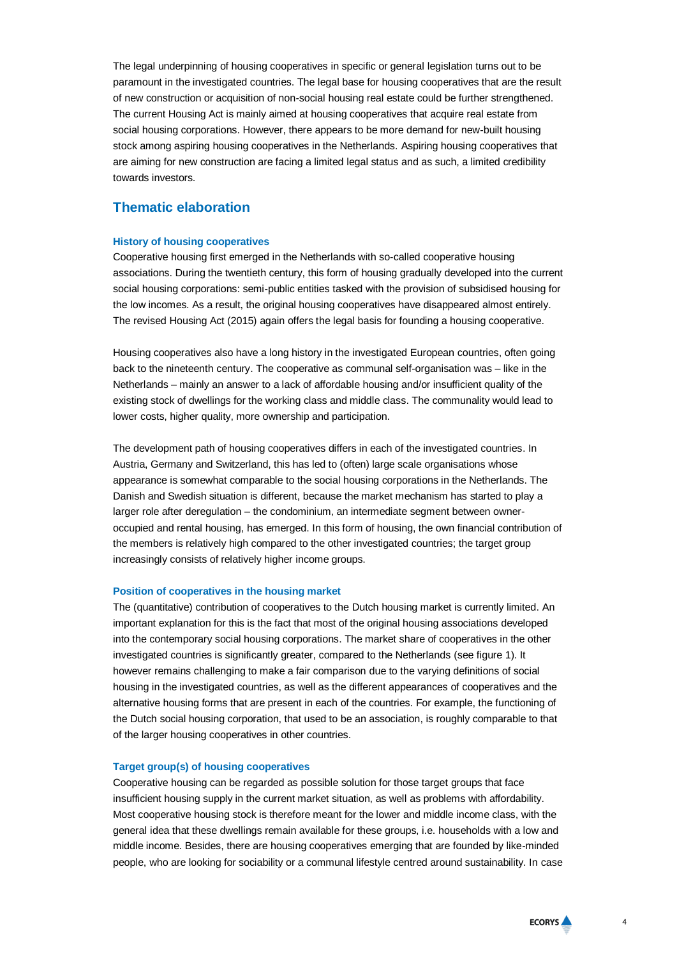The legal underpinning of housing cooperatives in specific or general legislation turns out to be paramount in the investigated countries. The legal base for housing cooperatives that are the result of new construction or acquisition of non-social housing real estate could be further strengthened. The current Housing Act is mainly aimed at housing cooperatives that acquire real estate from social housing corporations. However, there appears to be more demand for new-built housing stock among aspiring housing cooperatives in the Netherlands. Aspiring housing cooperatives that are aiming for new construction are facing a limited legal status and as such, a limited credibility towards investors.

## **Thematic elaboration**

#### **History of housing cooperatives**

Cooperative housing first emerged in the Netherlands with so-called cooperative housing associations. During the twentieth century, this form of housing gradually developed into the current social housing corporations: semi-public entities tasked with the provision of subsidised housing for the low incomes. As a result, the original housing cooperatives have disappeared almost entirely. The revised Housing Act (2015) again offers the legal basis for founding a housing cooperative.

Housing cooperatives also have a long history in the investigated European countries, often going back to the nineteenth century. The cooperative as communal self-organisation was – like in the Netherlands – mainly an answer to a lack of affordable housing and/or insufficient quality of the existing stock of dwellings for the working class and middle class. The communality would lead to lower costs, higher quality, more ownership and participation.

The development path of housing cooperatives differs in each of the investigated countries. In Austria, Germany and Switzerland, this has led to (often) large scale organisations whose appearance is somewhat comparable to the social housing corporations in the Netherlands. The Danish and Swedish situation is different, because the market mechanism has started to play a larger role after deregulation – the condominium, an intermediate segment between owneroccupied and rental housing, has emerged. In this form of housing, the own financial contribution of the members is relatively high compared to the other investigated countries; the target group increasingly consists of relatively higher income groups.

#### **Position of cooperatives in the housing market**

The (quantitative) contribution of cooperatives to the Dutch housing market is currently limited. An important explanation for this is the fact that most of the original housing associations developed into the contemporary social housing corporations. The market share of cooperatives in the other investigated countries is significantly greater, compared to the Netherlands (see figure 1). It however remains challenging to make a fair comparison due to the varying definitions of social housing in the investigated countries, as well as the different appearances of cooperatives and the alternative housing forms that are present in each of the countries. For example, the functioning of the Dutch social housing corporation, that used to be an association, is roughly comparable to that of the larger housing cooperatives in other countries.

#### **Target group(s) of housing cooperatives**

Cooperative housing can be regarded as possible solution for those target groups that face insufficient housing supply in the current market situation, as well as problems with affordability. Most cooperative housing stock is therefore meant for the lower and middle income class, with the general idea that these dwellings remain available for these groups, i.e. households with a low and middle income. Besides, there are housing cooperatives emerging that are founded by like-minded people, who are looking for sociability or a communal lifestyle centred around sustainability. In case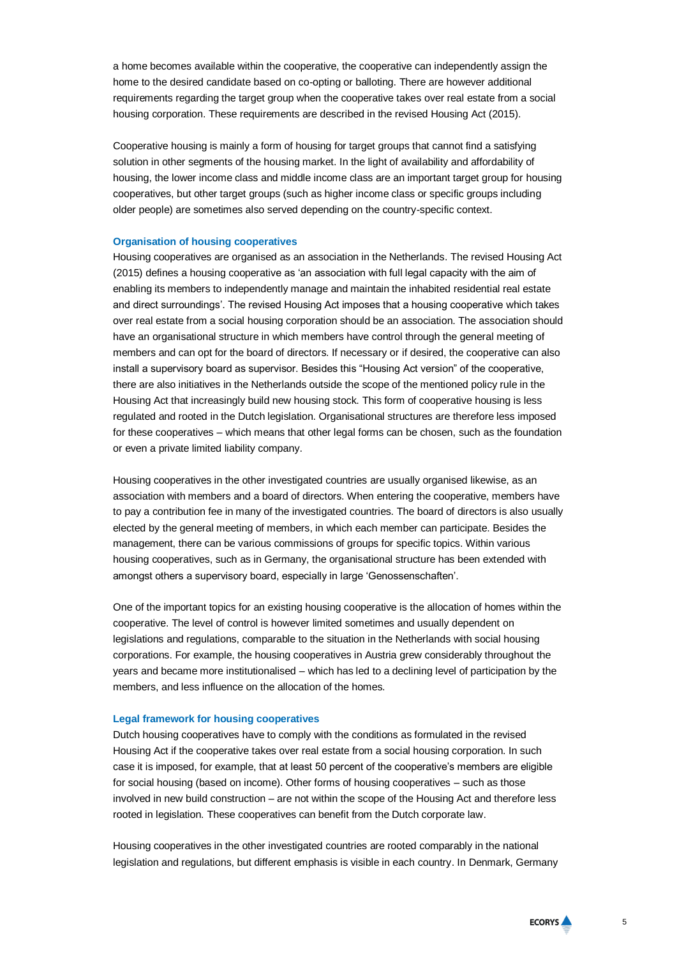a home becomes available within the cooperative, the cooperative can independently assign the home to the desired candidate based on co-opting or balloting. There are however additional requirements regarding the target group when the cooperative takes over real estate from a social housing corporation. These requirements are described in the revised Housing Act (2015).

Cooperative housing is mainly a form of housing for target groups that cannot find a satisfying solution in other segments of the housing market. In the light of availability and affordability of housing, the lower income class and middle income class are an important target group for housing cooperatives, but other target groups (such as higher income class or specific groups including older people) are sometimes also served depending on the country-specific context.

#### **Organisation of housing cooperatives**

Housing cooperatives are organised as an association in the Netherlands. The revised Housing Act (2015) defines a housing cooperative as 'an association with full legal capacity with the aim of enabling its members to independently manage and maintain the inhabited residential real estate and direct surroundings'. The revised Housing Act imposes that a housing cooperative which takes over real estate from a social housing corporation should be an association. The association should have an organisational structure in which members have control through the general meeting of members and can opt for the board of directors. If necessary or if desired, the cooperative can also install a supervisory board as supervisor. Besides this "Housing Act version" of the cooperative, there are also initiatives in the Netherlands outside the scope of the mentioned policy rule in the Housing Act that increasingly build new housing stock. This form of cooperative housing is less regulated and rooted in the Dutch legislation. Organisational structures are therefore less imposed for these cooperatives – which means that other legal forms can be chosen, such as the foundation or even a private limited liability company.

Housing cooperatives in the other investigated countries are usually organised likewise, as an association with members and a board of directors. When entering the cooperative, members have to pay a contribution fee in many of the investigated countries. The board of directors is also usually elected by the general meeting of members, in which each member can participate. Besides the management, there can be various commissions of groups for specific topics. Within various housing cooperatives, such as in Germany, the organisational structure has been extended with amongst others a supervisory board, especially in large 'Genossenschaften'.

One of the important topics for an existing housing cooperative is the allocation of homes within the cooperative. The level of control is however limited sometimes and usually dependent on legislations and regulations, comparable to the situation in the Netherlands with social housing corporations. For example, the housing cooperatives in Austria grew considerably throughout the years and became more institutionalised – which has led to a declining level of participation by the members, and less influence on the allocation of the homes.

#### **Legal framework for housing cooperatives**

Dutch housing cooperatives have to comply with the conditions as formulated in the revised Housing Act if the cooperative takes over real estate from a social housing corporation. In such case it is imposed, for example, that at least 50 percent of the cooperative's members are eligible for social housing (based on income). Other forms of housing cooperatives – such as those involved in new build construction – are not within the scope of the Housing Act and therefore less rooted in legislation. These cooperatives can benefit from the Dutch corporate law.

Housing cooperatives in the other investigated countries are rooted comparably in the national legislation and regulations, but different emphasis is visible in each country. In Denmark, Germany